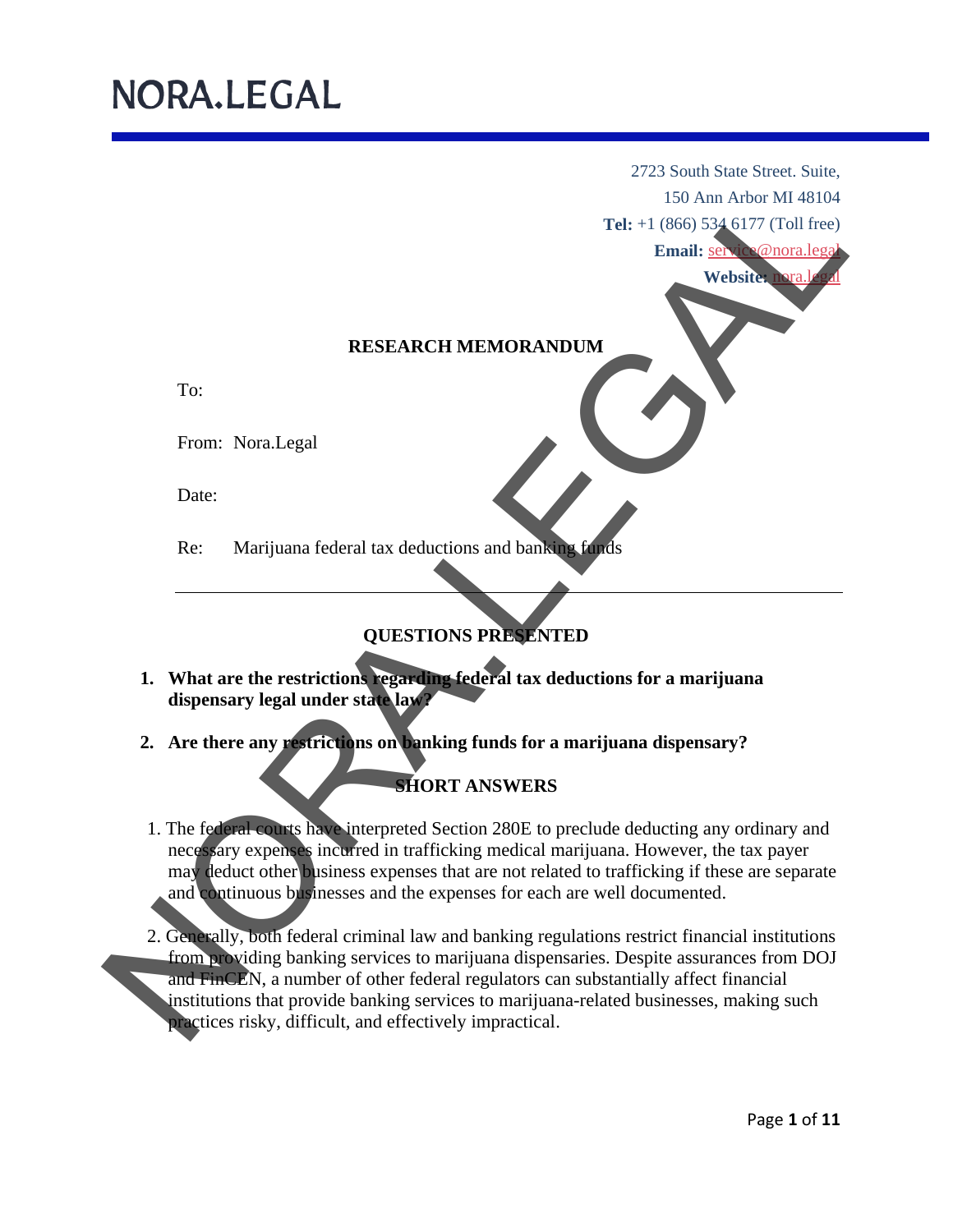2723 South State Street. Suite, 150 Ann Arbor MI 48104

**Tel:** +1 (866) 534 6177 (Toll free)

Email: service@nora.lega

Website: nora.l

### **RESEARCH MEMORANDUM**

To:

From: Nora.Legal

Date:

Re: Marijuana federal tax deductions and banking fund

### **QUESTIONS PRESENTED**

- **1. What are the restrictions regarding federal tax deductions for a marijuana dispensary legal under state law?**
- **2. Are there any restrictions on banking funds for a marijuana dispensary?**

### **SHORT ANSWERS**

- 1. The federal courts have interpreted Section 280E to preclude deducting any ordinary and necessary expenses incurred in trafficking medical marijuana. However, the tax payer may deduct other business expenses that are not related to trafficking if these are separate and continuous businesses and the expenses for each are well documented.
- 2. Generally, both federal criminal law and banking regulations restrict financial institutions from providing banking services to marijuana dispensaries. Despite assurances from DOJ and FinCEN, a number of other federal regulators can substantially affect financial institutions that provide banking services to marijuana-related businesses, making such practices risky, difficult, and effectively impractical .Tel: (180 An Achor M148104<br>
Tel: (18060 An Achor M148104<br>
Tel: (18060 An Achor M148104<br>
Tel: (18060 An Achor M148104<br>
Tex: Marijuana federal tax deductions and banks and the<br>second the second term in the second term of the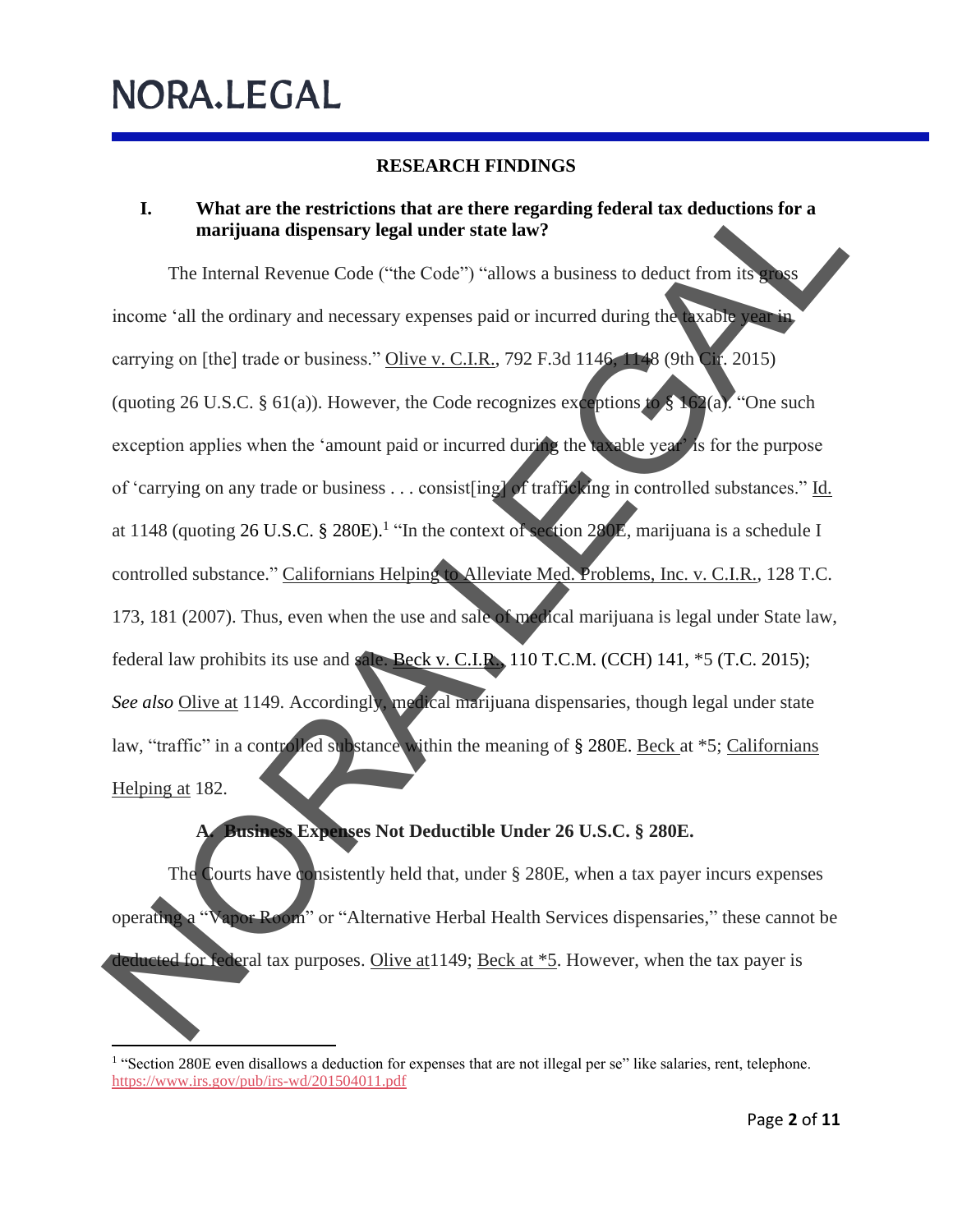### **RESEARCH FINDINGS**

### **I. What are the restrictions that are there regarding federal tax deductions for a marijuana dispensary legal under state law?**

The Internal Revenue Code ("the Code") "allows a business to deduct from its gross income 'all the ordinary and necessary expenses paid or incurred during the taxable year in carrying on [the] trade or business." Olive v. C.I.R., 792 F.3d 1146, 1148 (9th Cir. 2015) (quoting 26 U.S.C. § 61(a)). However, the Code recognizes exceptions to § 162(a). "One such exception applies when the 'amount paid or incurred during the taxable year' is for the purpose of 'carrying on any trade or business . . . consist[ing] of trafficking in controlled substances." Id. at 1148 (quoting 26 U.S.C.  $\S$  280E).<sup>1</sup> "In the context of section 280E, marijuana is a schedule I controlled substance." Californians Helping to Alleviate Med. Problems, Inc. v. C.I.R., 128 T.C. 173, 181 (2007). Thus, even when the use and sale of medical marijuana is legal under State law, federal law prohibits its use and sale. Beck v. C.I.R., 110 T.C.M. (CCH) 141,  $*5$  (T.C. 2015); *See also* Olive at 1149. Accordingly, medical marijuana dispensaries, though legal under state law, "traffic" in a controlled substance within the meaning of § 280E. Beck at \*5; Californians Helping at 182. I. What are the restrictions that are there regarding federal tax deductions for a<br>marijuana dispensary legal under state law?<br>The internal Revenue Code ("the Code") "allows a business to deduct from its<br>meaning on [the]

### **A. Business Expenses Not Deductible Under 26 U.S.C. § 280E.**

The Courts have consistently held that, under § 280E, when a tax payer incurs expenses operating a "Vapor Room" or "Alternative Herbal Health Services dispensaries," these cannot be deducted for federal tax purposes. Olive at 1149; Beck at \*5. However, when the tax payer is

<sup>&</sup>lt;sup>1</sup> "Section 280E even disallows a deduction for expenses that are not illegal per se" like salaries, rent, telephone. [https://www.irs.gov/pub/irs](https://www.irs.gov/pub/irs-wd/201504011.pdf) -wd/201504011.pdf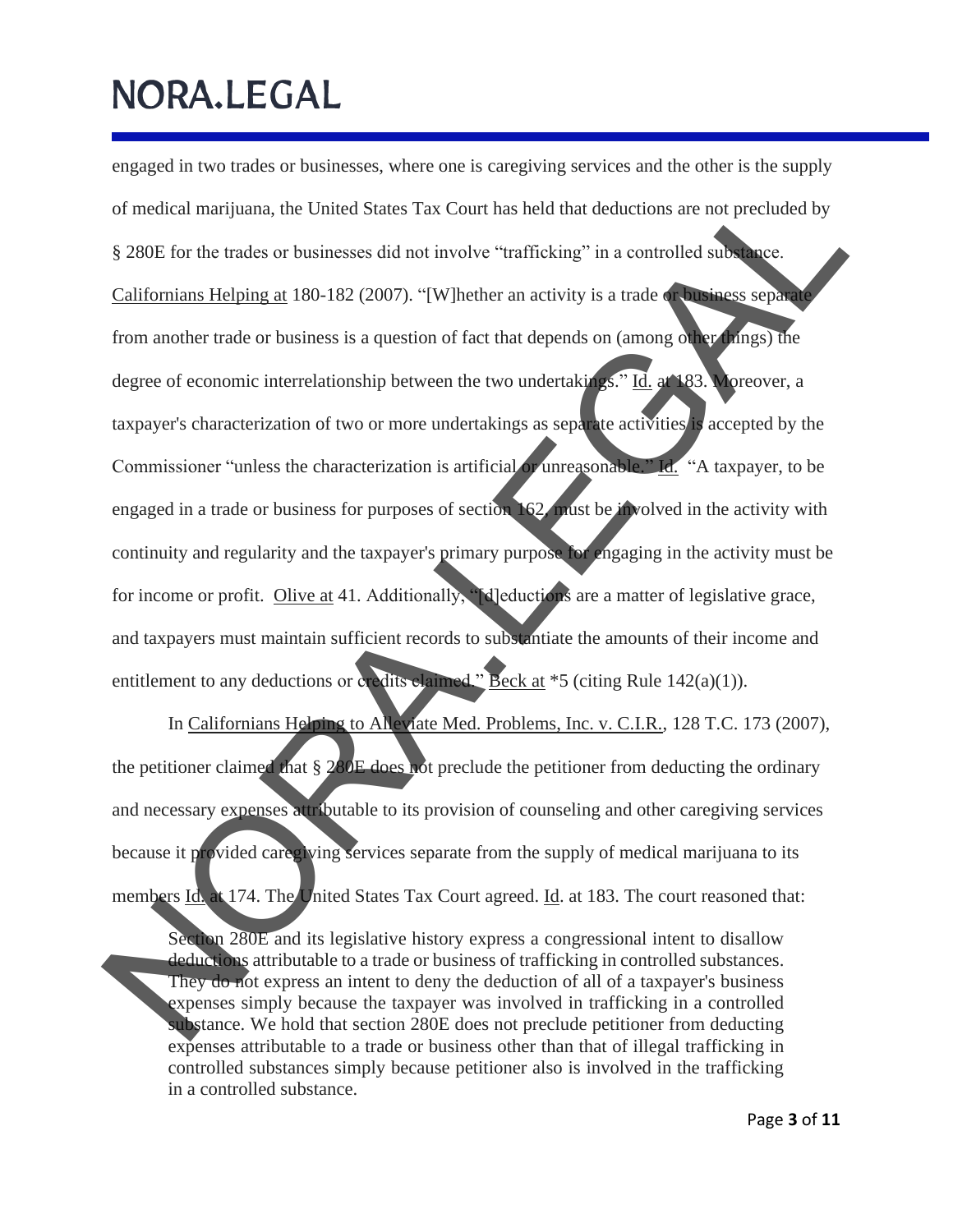engaged in two trades or businesses, where one is caregiving services and the other is the supply of medical marijuana, the United States Tax Court has held that deductions are not precluded by § 280E for the trades or businesses did not involve "trafficking" in a controlled substance. Californians Helping at 180-182 (2007). "[W]hether an activity is a trade or business separate from another trade or business is a question of fact that depends on (among other things) the degree of economic interrelationship between the two undertakings." Id. at 183. Moreover, a taxpayer's characterization of two or more undertakings as separate activities is accepted by the Commissioner "unless the characterization is artificial or unreasonable." Id. "A taxpayer, to be engaged in a trade or business for purposes of section 162, must be involved in the activity with continuity and regularity and the taxpayer's primary purpose for engaging in the activity must be for income or profit. Olive at 41. Additionally, "**d**]eductions are a matter of legislative grace, and taxpayers must maintain sufficient records to substantiate the amounts of their income and entitlement to any deductions or credits claimed." Beck at \*5 (citing Rule 142(a)(1)). of medical marijuana, the United States Tax Court has held that deductions are not precluded by<br>  $\frac{1}{2}$  280E for the trades or businesses did not involve "tradicting" in a controlled sub-<br>
Californiams Helping at 130-1

In Californians Helping to Alleviate Med. Problems, Inc. v. C.I.R., 128 T.C. 173 (2007), the petitioner claimed that § 280E does not preclude the petitioner from deducting the ordinary and necessary expenses attributable to its provision of counseling and other caregiving services because it provided caregiving services separate from the supply of medical marijuana to its members Id. at 174. The United States Tax Court agreed. Id. at 183. The court reasoned that:

Section 280E and its legislative history express a congressional intent to disallow deductions attributable to a trade or business of trafficking in controlled substances. They do not express an intent to deny the deduction of all of a taxpayer's business expenses simply because the taxpayer was involved in trafficking in a controlled substance. We hold that section 280E does not preclude petitioner from deducting expenses attributable to a trade or business other than that of illegal trafficking in controlled substances simply because petitioner also is involved in the trafficking in a controlled substance.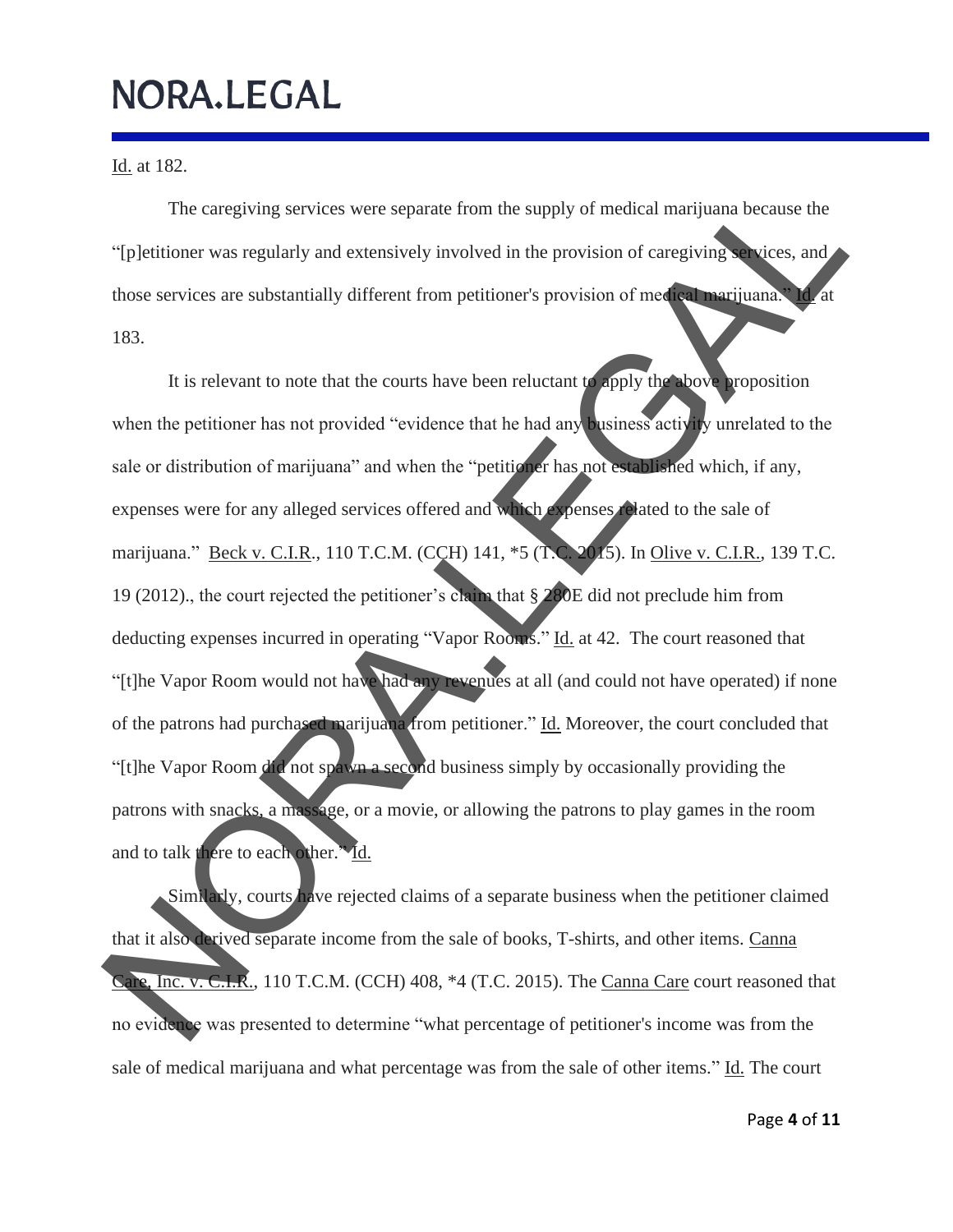Id. at 182.

The caregiving services were separate from the supply of medical marijuana because the "[p]etitioner was regularly and extensively involved in the provision of caregiving services, and those services are substantially different from petitioner's provision of medical marijuana." Id. at 183.

It is relevant to note that the courts have been reluctant to apply the above proposition when the petitioner has not provided "evidence that he had any business activity unrelated to the sale or distribution of marijuana" and when the "petitioner has not established which, if any, expenses were for any alleged services offered and which expenses related to the sale of marijuana." Beck v. C.I.R., 110 T.C.M. (CCH) 141, \*5 (T.C. 2015). In Olive v. C.I.R., 139 T.C. 19 (2012)., the court rejected the petitioner's claim that § 280E did not preclude him from deducting expenses incurred in operating "Vapor Rooms." Id. at 42. The court reasoned that "[t]he Vapor Room would not have had any revenues at all (and could not have operated) if none of the patrons had purchased marijuana from petitioner." Id. Moreover, the court concluded that "[t]he Vapor Room did not spawn a second business simply by occasionally providing the patrons with snacks, a massage, or a movie, or allowing the patrons to play games in the room and to talk there to each other." Id. The caregiving services were separate from the supply of medical marijuana because the<br>
"[p]etitioner was regularly and extensively involved in the provision of caregiving<br>
those services are substantially different from

Similarly, courts have rejected claims of a separate business when the petitioner claimed that it also derived separate income from the sale of books, T-shirts, and other items. Canna Care, Inc. v. C.I.R., 110 T.C.M. (CCH) 408, \*4 (T.C. 2015). The Canna Care court reasoned that no evidence was presented to determine "what percentage of petitioner's income was from the sale of medical marijuana and what percentage was from the sale of other items." Id. The court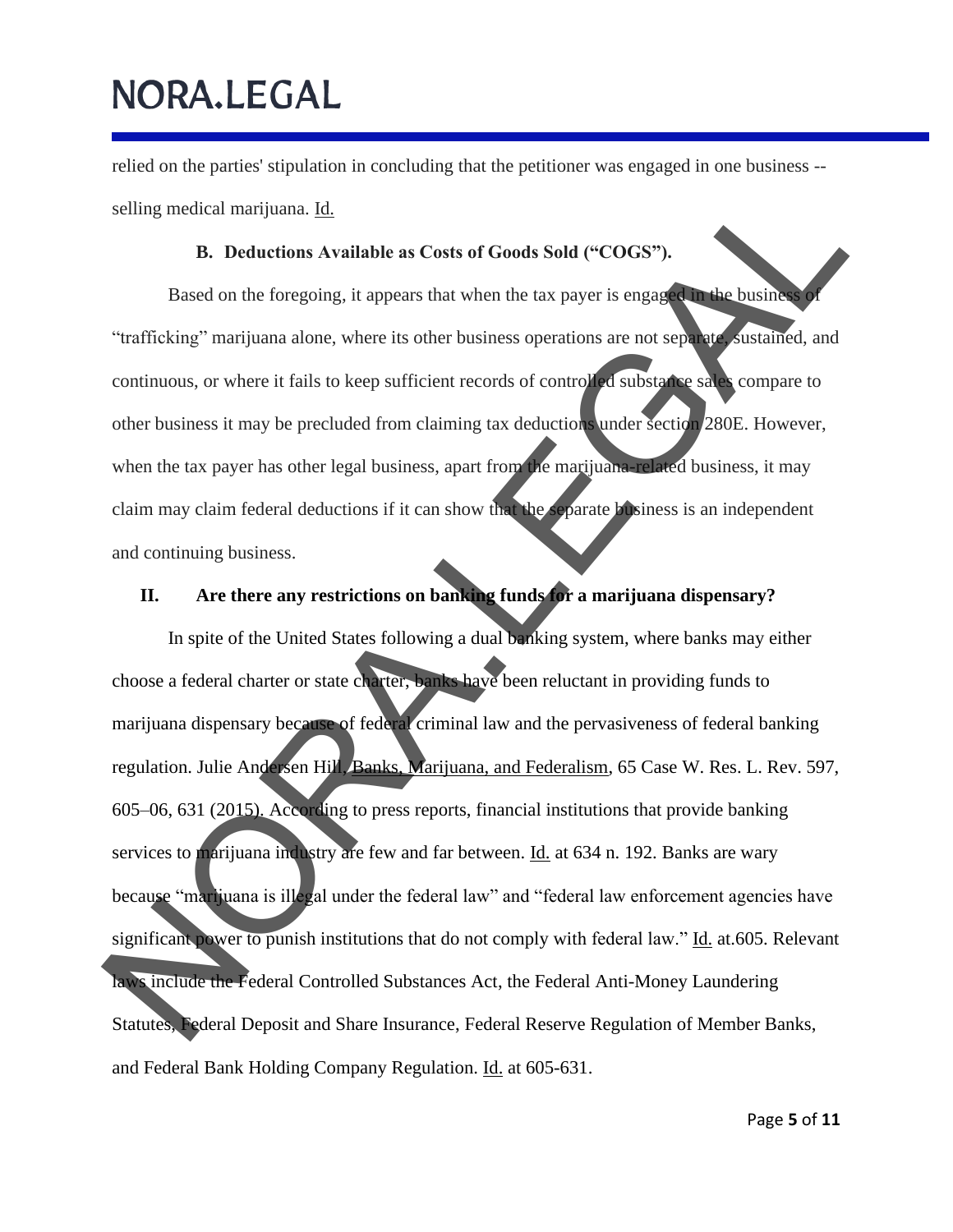relied on the parties' stipulation in concluding that the petitioner was engaged in one business - selling medical marijuana. Id.

### **B. Deductions Available as Costs of Goods Sold ("COGS").**

Based on the foregoing, it appears that when the tax payer is engaged in the business of "trafficking" marijuana alone, where its other business operations are not separate, sustained, and continuous, or where it fails to keep sufficient records of controlled substance sales compare to other business it may be precluded from claiming tax deductions under section 280E. However, when the tax payer has other legal business, apart from the marijuana-related business, it may claim may claim federal deductions if it can show that the separate business is an independent and continuing business.

### **II. Are there any restrictions on banking funds for a marijuana dispensary?**

In spite of the United States following a dual banking system, where banks may either choose a federal charter or state charter, banks have been reluctant in providing funds to marijuana dispensary because of federal criminal law and the pervasiveness of federal banking regulation. Julie Andersen Hill, Banks, Marijuana, and Federalism, 65 Case W. Res. L. Rev. 597, 605–06, 631 (2015). According to press reports, financial institutions that provide banking services to marijuana industry are few and far between. Id. at 634 n. 192. Banks are wary because "marijuana is illegal under the federal law" and "federal law enforcement agencies have significant power to punish institutions that do not comply with federal law." Id. at.605. Relevant laws include the Federal Controlled Substances Act, the Federal Anti-Money Laundering Statutes, Federal Deposit and Share Insurance, Federal Reserve Regulation of Member Banks, and Federal Bank Holding Company Regulation. Id. at 605-631. selling medical marijuana. Id.<br>
B. Deductions Available as Costs of Goods Sold ("COGS").<br>
Based on the foregoing, it appears that when the ax payer is enganged at business<br>
"trafficking" marijuana alone, where it folls to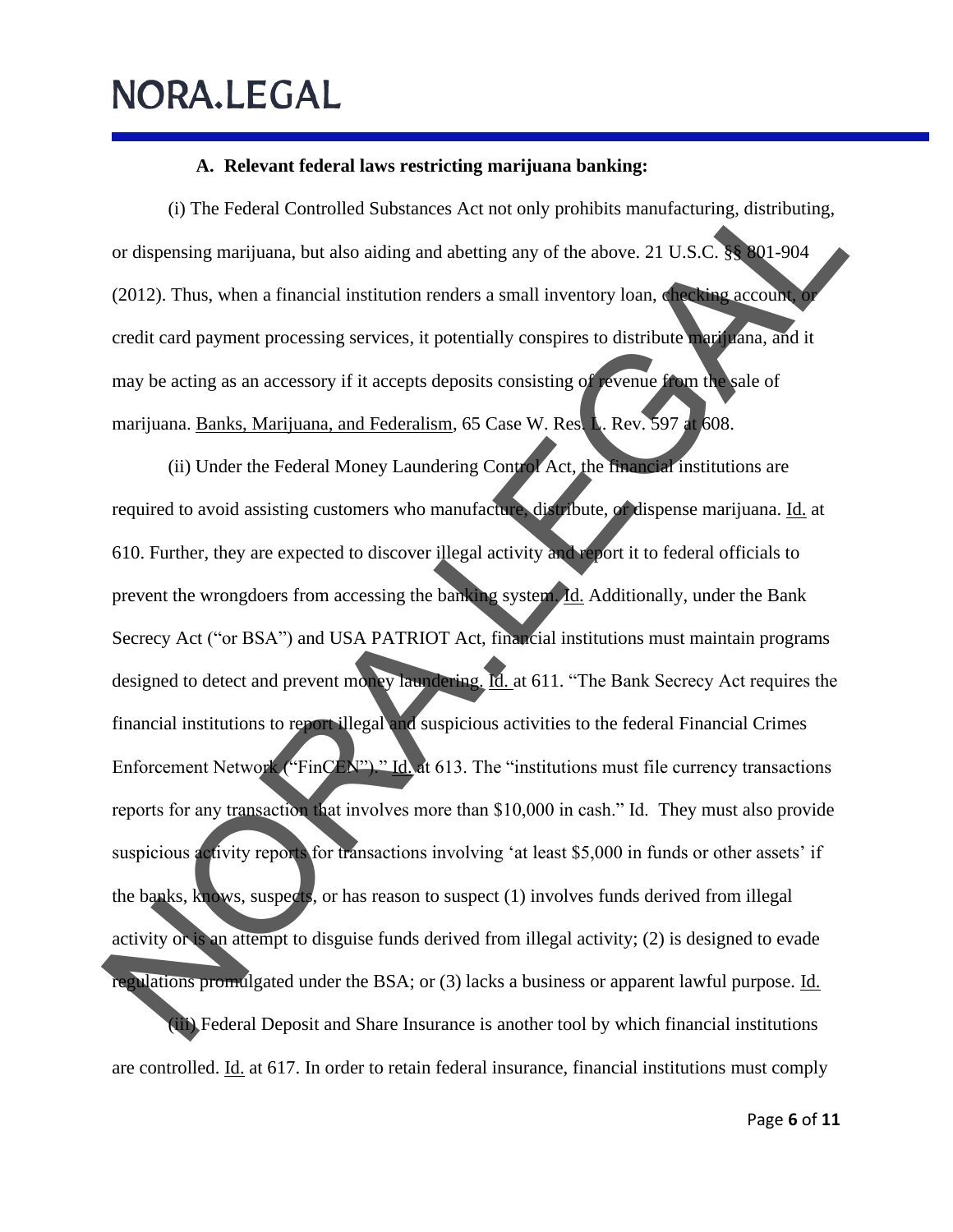### **A. Relevant federal laws restricting marijuana banking:**

(i) The Federal Controlled Substances Act not only prohibits manufacturing, distributing, or dispensing marijuana, but also aiding and abetting any of the above. 21 U.S.C. §§ 801-904 (2012). Thus, when a financial institution renders a small inventory loan, checking account, or credit card payment processing services, it potentially conspires to distribute marijuana, and it may be acting as an accessory if it accepts deposits consisting of revenue from the sale of marijuana. Banks, Marijuana, and Federalism, 65 Case W. Res. L. Rev. 597 at 608.

(ii) Under the Federal Money Laundering Control Act, the financial institutions are required to avoid assisting customers who manufacture, distribute, or dispense marijuana. Id. at 610. Further, they are expected to discover illegal activity and report it to federal officials to prevent the wrongdoers from accessing the banking system. Id. Additionally, under the Bank Secrecy Act ("or BSA") and USA PATRIOT Act, financial institutions must maintain programs designed to detect and prevent money laundering. Id. at 611. "The Bank Secrecy Act requires the financial institutions to report illegal and suspicious activities to the federal Financial Crimes Enforcement Network ("FinCEN")." Id. at 613. The "institutions must file currency transactions reports for any transaction that involves more than \$10,000 in cash." Id. They must also provide suspicious activity reports for transactions involving 'at least \$5,000 in funds or other assets' if the banks, knows, suspects, or has reason to suspect (1) involves funds derived from illegal activity or is an attempt to disguise funds derived from illegal activity; (2) is designed to evade regulations promulgated under the BSA; or (3) lacks a business or apparent lawful purpose. Id. (iii) Federal Deposit and Share Insurance is another tool by which financial institutions (i) The Federal Controlled Substances Act not only probiblis manufacturing, distributing,<br>or dispensing marijuana, but also aiding and abetting any of the above. 21 U.S.C. and 10-004<br>(2012). Thus, when a financial institu

are controlled. *Id.* at 617. In order to retain federal insurance, financial institutions must comply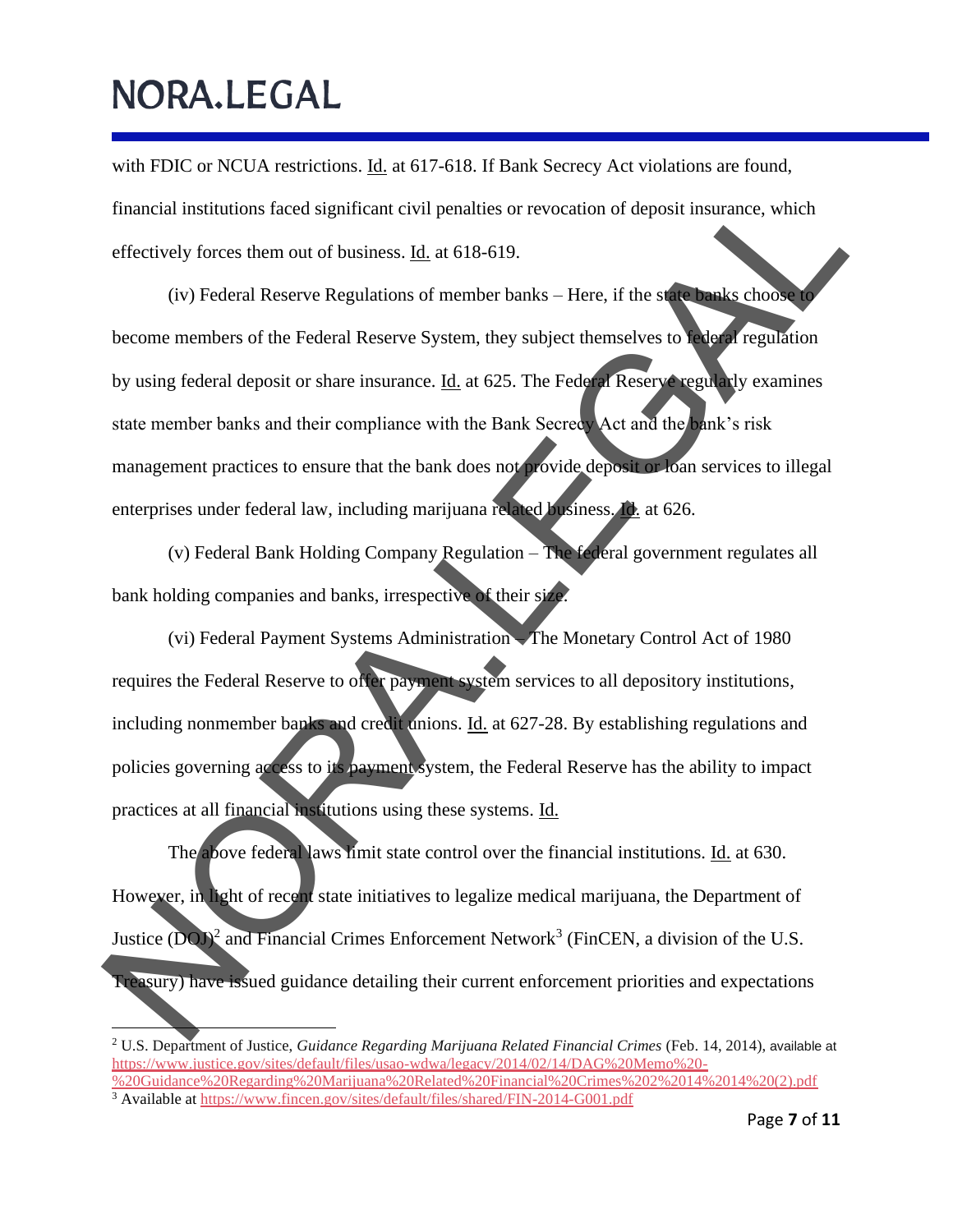with FDIC or NCUA restrictions. Id. at 617-618. If Bank Secrecy Act violations are found, financial institutions faced significant civil penalties or revocation of deposit insurance, which effectively forces them out of business. Id. at 618-619.

(iv) Federal Reserve Regulations of member banks – Here, if the state banks choose to become members of the Federal Reserve System, they subject themselves to federal regulation by using federal deposit or share insurance. Id. at 625. The Federal Reserve regularly examines state member banks and their compliance with the Bank Secrecy Act and the bank's risk management practices to ensure that the bank does not provide deposit or loan services to illegal enterprises under federal law, including marijuana related business. **Id.** at 626. financial institutions faced significant civil penalties or revocation of deposit insurance, which<br>effectively forces them out of business. <u>El.</u> at 618-619.<br>(iv) Federal Reserve Regulations of member banks - Here. if the

(v) Federal Bank Holding Company Regulation – The federal government regulates all bank holding companies and banks, irrespective of their size.

(vi) Federal Payment Systems Administration – The Monetary Control Act of 1980 requires the Federal Reserve to offer payment system services to all depository institutions, including nonmember banks and credit unions. Id. at 627-28. By establishing regulations and policies governing access to its payment system, the Federal Reserve has the ability to impact practices at all financial institutions using these systems. Id.

The above federal laws limit state control over the financial institutions. Id. at 630. However, in light of recent state initiatives to legalize medical marijuana, the Department of Justice  $(DQ)^2$  and Financial Crimes Enforcement Network<sup>3</sup> (FinCEN, a division of the U.S. Treasury) have issued guidance detailing their current enforcement priorities and expectations

<sup>2</sup> U.S. Department of Justice, *Guidance Regarding Marijuana Related Financial Crimes* (Feb. 14, 2014), available at [https://www.justice.gov/sites/default/files/usao-wdwa/legacy/2014/02/14/DAG%20Memo%20-](https://www.justice.gov/sites/default/files/usao-wdwa/legacy/2014/02/14/DAG%20Memo%20-%20Guidance%20Regarding%20Marijuana%20Related%20Financial%20Crimes%202%2014%2014%20(2).pdf) [%20Guidance%20Regarding%20Marijuana%20Related%20Financial%20Crimes%202%2014%2014%20\(2\).pdf](https://www.justice.gov/sites/default/files/usao-wdwa/legacy/2014/02/14/DAG%20Memo%20-%20Guidance%20Regarding%20Marijuana%20Related%20Financial%20Crimes%202%2014%2014%20(2).pdf) <sup>3</sup> Available at <https://www.fincen.gov/sites/default/files/shared/FIN-2014-G001.pdf>

Page **7** of **11**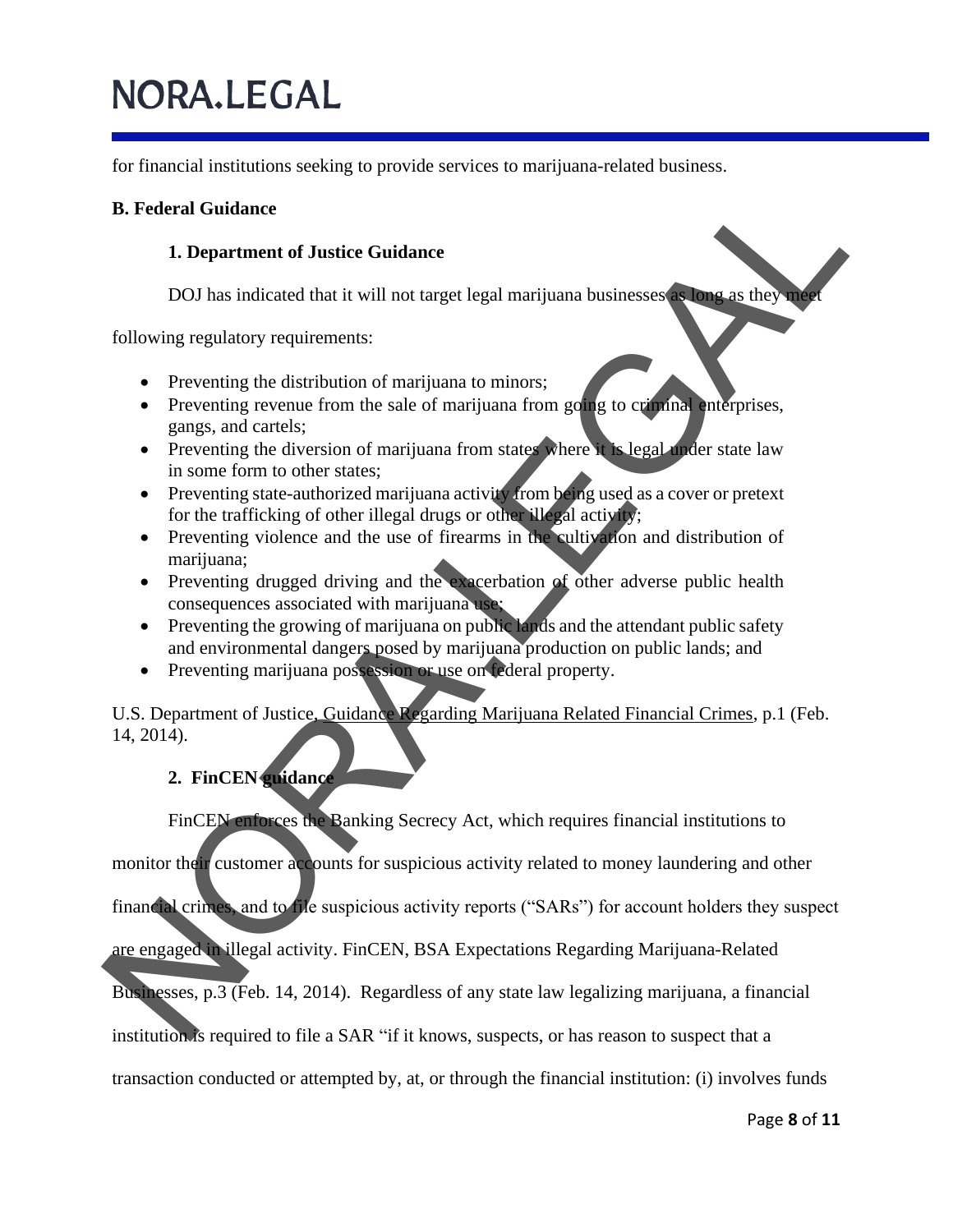for financial institutions seeking to provide services to marijuana-related business.

### **B. Federal Guidance**

#### **1. Department of Justice Guidance**

DOJ has indicated that it will not target legal marijuana businesses as long as they meet

following regulatory requirements:

- Preventing the distribution of marijuana to minors;
- Preventing revenue from the sale of marijuana from going to criminal enterprises, gangs, and cartels;
- Preventing the diversion of marijuana from states where it is legal under state law in some form to other states;
- Preventing state-authorized marijuana activity from being used as a cover or pretext for the trafficking of other illegal drugs or other illegal activity;
- Preventing violence and the use of firearms in the cultivation and distribution of marijuana;
- Preventing drugged driving and the exacerbation of other adverse public health consequences associated with marijuana use;
- Preventing the growing of marijuana on public lands and the attendant public safety and environmental dangers posed by marijuana production on public lands; and
- Preventing marijuana possession or use on federal property.

U.S. Department of Justice, Guidance Regarding Marijuana Related Financial Crimes, p.1 (Feb. 14, 2014). **B. Federal Guidance**<br>
1. Department of Justice Guidance<br>
DOJ has indicated that it will not target legal marijuana businesses<br>
following regulatory requirements:<br>
Preventing the distribution of marijuana tom intervalse.<br>

### **2. FinCEN guidance**

FinCEN enforces the Banking Secrecy Act, which requires financial institutions to

monitor their customer accounts for suspicious activity related to money laundering and other

financial crimes, and to file suspicious activity reports ("SARs") for account holders they suspect

are engaged in illegal activity. FinCEN, BSA Expectations Regarding Marijuana-Related

Businesses, p.3 (Feb. 14, 2014). Regardless of any state law legalizing marijuana, a financial

institution is required to file a SAR "if it knows, suspects, or has reason to suspect that a

transaction conducted or attempted by, at, or through the financial institution: (i) involves funds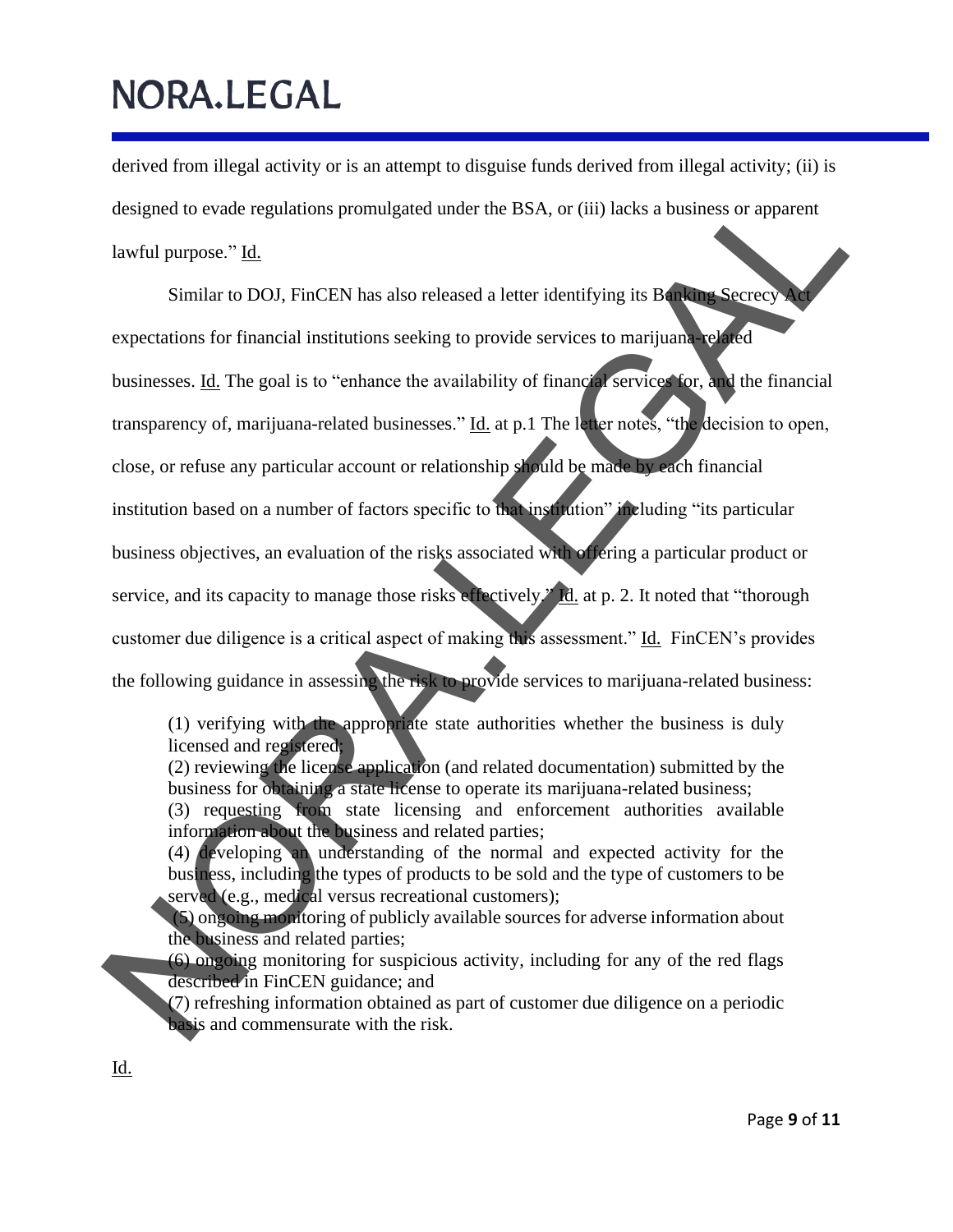derived from illegal activity or is an attempt to disguise funds derived from illegal activity; (ii) is designed to evade regulations promulgated under the BSA, or (iii) lacks a business or apparent lawful purpose." Id.

Similar to DOJ, FinCEN has also released a letter identifying its Banking Secrecy expectations for financial institutions seeking to provide services to marijuana-related businesses. Id. The goal is to "enhance the availability of financial services for, and the financial transparency of, marijuana-related businesses." Id. at p.1 The letter notes, "the decision to open, close, or refuse any particular account or relationship should be made by each financial institution based on a number of factors specific to that institution" including "its particular business objectives, an evaluation of the risks associated with offering a particular product or service, and its capacity to manage those risks effectively." Id. at p. 2. It noted that "thorough customer due diligence is a critical aspect of making this assessment." Id. FinCEN's provides the following guidance in assessing the risk to provide services to marijuana-related business: designed to evade regulations promulgated under the BSA, or (iii) lacks a business or apparent<br>lawful purpose." <u>Id.</u><br>Similar to DOI, FinCEN has also released a letter identifying its B<br>expectations for financial institut

(1) verifying with the appropriate state authorities whether the business is duly licensed and registered;

(2) reviewing the license application (and related documentation) submitted by the business for obtaining a state license to operate its marijuana-related business;

(3) requesting from state licensing and enforcement authorities available information about the business and related parties;

(4) developing an understanding of the normal and expected activity for the business, including the types of products to be sold and the type of customers to be served (e.g., medical versus recreational customers);

(5) ongoing monitoring of publicly available sources for adverse information about the business and related parties;

(6) ongoing monitoring for suspicious activity, including for any of the red flags described in FinCEN guidance; and

(7) refreshing information obtained as part of customer due diligence on a periodic basis and commensurate with the risk.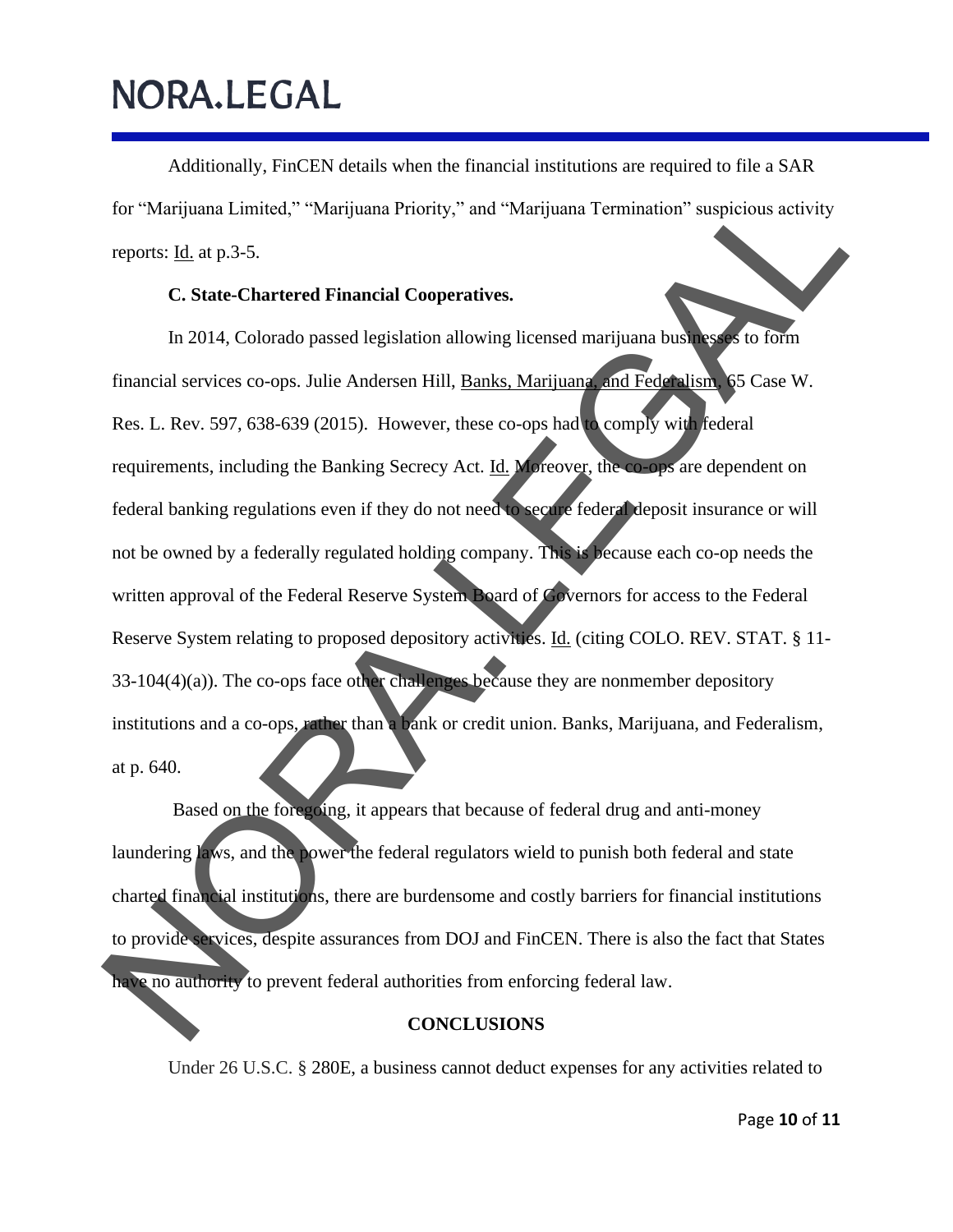Additionally, FinCEN details when the financial institutions are required to file a SAR for "Marijuana Limited," "Marijuana Priority," and "Marijuana Termination" suspicious activity reports: Id. at p.3-5.

#### **C. State-Chartered Financial Cooperatives.**

In 2014, Colorado passed legislation allowing licensed marijuana businesses to form financial services co-ops. Julie Andersen Hill, Banks, Marijuana, and Federalism, 65 Case W. Res. L. Rev. 597, 638-639 (2015). However, these co-ops had to comply with federal requirements, including the Banking Secrecy Act. Id. Moreover, the co-ops are dependent on federal banking regulations even if they do not need to secure federal deposit insurance or will not be owned by a federally regulated holding company. This is because each co-op needs the written approval of the Federal Reserve System Board of Governors for access to the Federal Reserve System relating to proposed depository activities. Id. (citing COLO. REV. STAT. § 11- 33-104(4)(a)). The co-ops face other challenges because they are nonmember depository institutions and a co-ops, rather than a bank or credit union. Banks, Marijuana, and Federalism, at p. 640. for "Marijuana Limited," "Marijuana Priority," and "Marijuana Termination" suspicious activity<br>reports: <u>Ha.</u> at p.3-5.<br>C. State-Chartered Financial Cooperatives.<br>In 2014, Colorado passed legislation allowing licensed mari

Based on the foregoing, it appears that because of federal drug and anti-money laundering laws, and the power the federal regulators wield to punish both federal and state charted financial institutions, there are burdensome and costly barriers for financial institutions to provide services, despite assurances from DOJ and FinCEN. There is also the fact that States have no authority to prevent federal authorities from enforcing federal law.

#### **CONCLUSIONS**

Under 26 U.S.C. § 280E, a business cannot deduct expenses for any activities related to